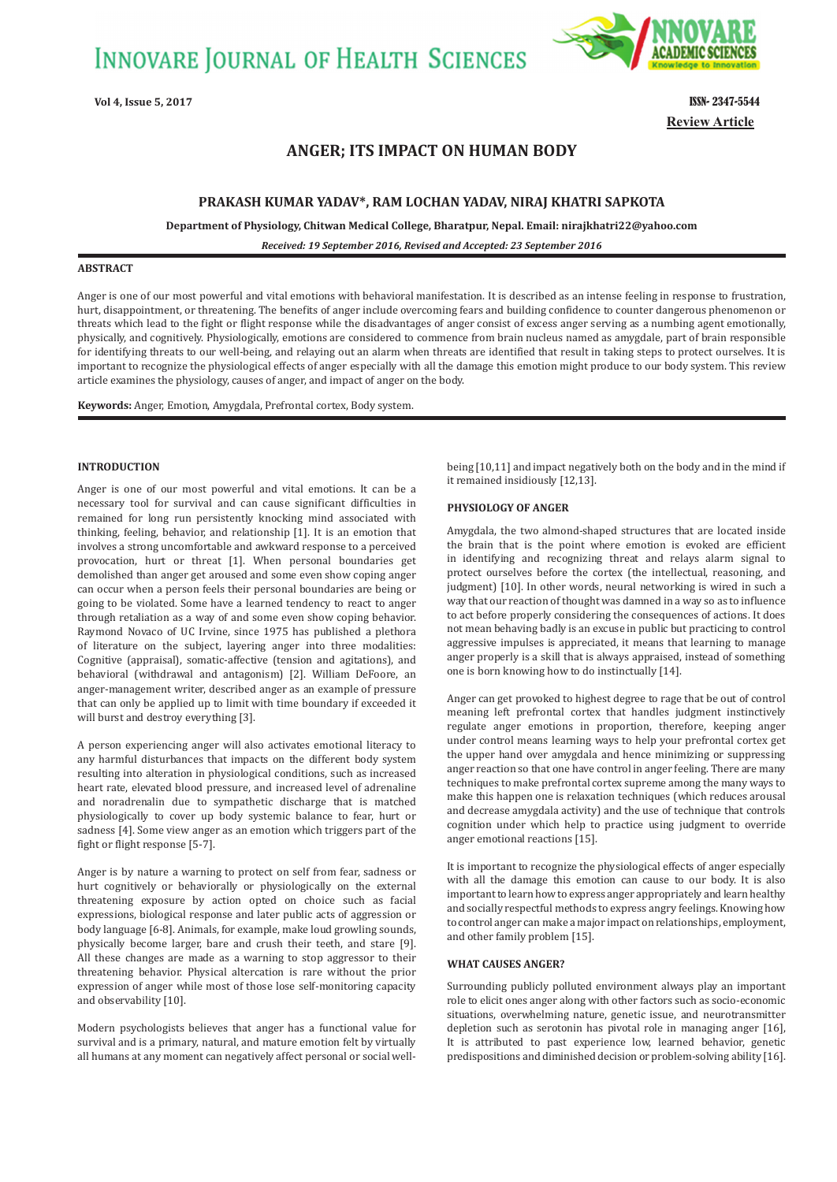**INNOVARE JOURNAL OF HEALTH SCIENCES** 



**Review Article**

# **ANGER; ITS IMPACT ON HUMAN BODY**

## **PRAKASH KUMAR YADAV\*, RAM LOCHAN YADAV, NIRAJ KHATRI SAPKOTA**

**Department of Physiology, Chitwan Medical College, Bharatpur, Nepal. Email: nirajkhatri22@yahoo.com**

*Received: 19 September 2016, Revised and Accepted: 23 September 2016*

## **ABSTRACT**

Anger is one of our most powerful and vital emotions with behavioral manifestation. It is described as an intense feeling in response to frustration, hurt, disappointment, or threatening. The benefits of anger include overcoming fears and building confidence to counter dangerous phenomenon or threats which lead to the fight or flight response while the disadvantages of anger consist of excess anger serving as a numbing agent emotionally, physically, and cognitively. Physiologically, emotions are considered to commence from brain nucleus named as amygdale, part of brain responsible for identifying threats to our well-being, and relaying out an alarm when threats are identified that result in taking steps to protect ourselves. It is important to recognize the physiological effects of anger especially with all the damage this emotion might produce to our body system. This review article examines the physiology, causes of anger, and impact of anger on the body.

**Keywords:** Anger, Emotion, Amygdala, Prefrontal cortex, Body system.

## **INTRODUCTION**

Anger is one of our most powerful and vital emotions. It can be a necessary tool for survival and can cause significant difficulties in remained for long run persistently knocking mind associated with thinking, feeling, behavior, and relationship [1]. It is an emotion that involves a strong uncomfortable and awkward response to a perceived provocation, hurt or threat [1]. When personal boundaries get demolished than anger get aroused and some even show coping anger can occur when a person feels their personal boundaries are being or going to be violated. Some have a learned tendency to react to anger through retaliation as a way of and some even show coping behavior. Raymond Novaco of UC Irvine, since 1975 has published a plethora of literature on the subject, layering anger into three modalities: Cognitive (appraisal), somatic-affective (tension and agitations), and behavioral (withdrawal and antagonism) [2]. William DeFoore, an anger-management writer, described anger as an example of pressure that can only be applied up to limit with time boundary if exceeded it will burst and destroy everything [3].

A person experiencing anger will also activates emotional literacy to any harmful disturbances that impacts on the different body system resulting into alteration in physiological conditions, such as increased heart rate, elevated blood pressure, and increased level of adrenaline and noradrenalin due to sympathetic discharge that is matched physiologically to cover up body systemic balance to fear, hurt or sadness [4]. Some view anger as an emotion which triggers part of the fight or flight response [5-7].

Anger is by nature a warning to protect on self from fear, sadness or hurt cognitively or behaviorally or physiologically on the external threatening exposure by action opted on choice such as facial expressions, biological response and later public acts of aggression or body language [6-8]. Animals, for example, make loud growling sounds, physically become larger, bare and crush their teeth, and stare [9]. All these changes are made as a warning to stop aggressor to their threatening behavior. Physical altercation is rare without the prior expression of anger while most of those lose self-monitoring capacity and observability [10].

Modern psychologists believes that anger has a functional value for survival and is a primary, natural, and mature emotion felt by virtually all humans at any moment can negatively affect personal or social wellbeing [10,11] and impact negatively both on the body and in the mind if it remained insidiously [12,13].

#### **PHYSIOLOGY OF ANGER**

Amygdala, the two almond-shaped structures that are located inside the brain that is the point where emotion is evoked are efficient in identifying and recognizing threat and relays alarm signal to protect ourselves before the cortex (the intellectual, reasoning, and judgment) [10]. In other words, neural networking is wired in such a way that our reaction of thought was damned in a way so as to influence to act before properly considering the consequences of actions. It does not mean behaving badly is an excuse in public but practicing to control aggressive impulses is appreciated, it means that learning to manage anger properly is a skill that is always appraised, instead of something one is born knowing how to do instinctually [14].

Anger can get provoked to highest degree to rage that be out of control meaning left prefrontal cortex that handles judgment instinctively regulate anger emotions in proportion, therefore, keeping anger under control means learning ways to help your prefrontal cortex get the upper hand over amygdala and hence minimizing or suppressing anger reaction so that one have control in anger feeling. There are many techniques to make prefrontal cortex supreme among the many ways to make this happen one is relaxation techniques (which reduces arousal and decrease amygdala activity) and the use of technique that controls cognition under which help to practice using judgment to override anger emotional reactions [15].

It is important to recognize the physiological effects of anger especially with all the damage this emotion can cause to our body. It is also important to learn how to express anger appropriately and learn healthy and socially respectful methods to express angry feelings. Knowing how to control anger can make a major impact on relationships, employment, and other family problem [15].

#### **WHAT CAUSES ANGER?**

Surrounding publicly polluted environment always play an important role to elicit ones anger along with other factors such as socio-economic situations, overwhelming nature, genetic issue, and neurotransmitter depletion such as serotonin has pivotal role in managing anger [16], It is attributed to past experience low, learned behavior, genetic predispositions and diminished decision or problem-solving ability [16].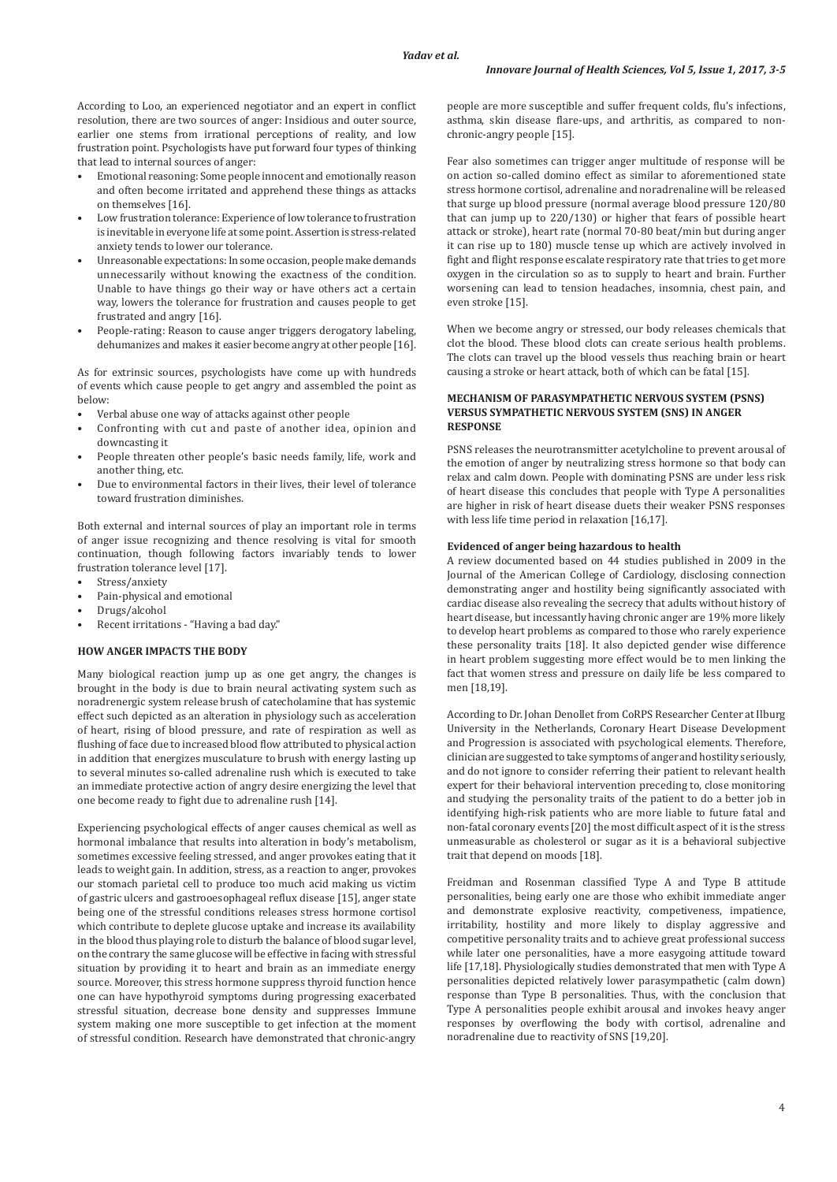According to Loo, an experienced negotiator and an expert in conflict resolution, there are two sources of anger: Insidious and outer source, earlier one stems from irrational perceptions of reality, and low frustration point. Psychologists have put forward four types of thinking that lead to internal sources of anger:

- Emotional reasoning: Some people innocent and emotionally reason and often become irritated and apprehend these things as attacks on themselves [16].
- Low frustration tolerance: Experience of low tolerance to frustration is inevitable in everyone life at some point. Assertion is stress-related anxiety tends to lower our tolerance.
- Unreasonable expectations: In some occasion, people make demands unnecessarily without knowing the exactness of the condition. Unable to have things go their way or have others act a certain way, lowers the tolerance for frustration and causes people to get frustrated and angry [16].
- People-rating: Reason to cause anger triggers derogatory labeling, dehumanizes and makes it easier become angry at other people [16].

As for extrinsic sources, psychologists have come up with hundreds of events which cause people to get angry and assembled the point as below:

- Verbal abuse one way of attacks against other people
- Confronting with cut and paste of another idea, opinion and downcasting it
- People threaten other people's basic needs family, life, work and another thing, etc.
- Due to environmental factors in their lives, their level of tolerance toward frustration diminishes.

Both external and internal sources of play an important role in terms of anger issue recognizing and thence resolving is vital for smooth continuation, though following factors invariably tends to lower frustration tolerance level [17].

- Stress/anxiety
- Pain-physical and emotional
- Drugs/alcohol
- Recent irritations "Having a bad day."

### **HOW ANGER IMPACTS THE BODY**

Many biological reaction jump up as one get angry, the changes is brought in the body is due to brain neural activating system such as noradrenergic system release brush of catecholamine that has systemic effect such depicted as an alteration in physiology such as acceleration of heart, rising of blood pressure, and rate of respiration as well as flushing of face due to increased blood flow attributed to physical action in addition that energizes musculature to brush with energy lasting up to several minutes so-called adrenaline rush which is executed to take an immediate protective action of angry desire energizing the level that one become ready to fight due to adrenaline rush [14].

Experiencing psychological effects of anger causes chemical as well as hormonal imbalance that results into alteration in body's metabolism, sometimes excessive feeling stressed, and anger provokes eating that it leads to weight gain. In addition, stress, as a reaction to anger, provokes our stomach parietal cell to produce too much acid making us victim of gastric ulcers and gastrooesophageal reflux disease [15], anger state being one of the stressful conditions releases stress hormone cortisol which contribute to deplete glucose uptake and increase its availability in the blood thus playing role to disturb the balance of blood sugar level, on the contrary the same glucose will be effective in facing with stressful situation by providing it to heart and brain as an immediate energy source. Moreover, this stress hormone suppress thyroid function hence one can have hypothyroid symptoms during progressing exacerbated stressful situation, decrease bone density and suppresses Immune system making one more susceptible to get infection at the moment of stressful condition. Research have demonstrated that chronic-angry

people are more susceptible and suffer frequent colds, flu's infections, asthma, skin disease flare-ups, and arthritis, as compared to nonchronic-angry people [15].

Fear also sometimes can trigger anger multitude of response will be on action so-called domino effect as similar to aforementioned state stress hormone cortisol, adrenaline and noradrenaline will be released that surge up blood pressure (normal average blood pressure 120/80 that can jump up to 220/130) or higher that fears of possible heart attack or stroke), heart rate (normal 70-80 beat/min but during anger it can rise up to 180) muscle tense up which are actively involved in fight and flight response escalate respiratory rate that tries to get more oxygen in the circulation so as to supply to heart and brain. Further worsening can lead to tension headaches, insomnia, chest pain, and even stroke [15].

When we become angry or stressed, our body releases chemicals that clot the blood. These blood clots can create serious health problems. The clots can travel up the blood vessels thus reaching brain or heart causing a stroke or heart attack, both of which can be fatal [15].

### **MECHANISM OF PARASYMPATHETIC NERVOUS SYSTEM (PSNS) VERSUS SYMPATHETIC NERVOUS SYSTEM (SNS) IN ANGER RESPONSE**

PSNS releases the neurotransmitter acetylcholine to prevent arousal of the emotion of anger by neutralizing stress hormone so that body can relax and calm down. People with dominating PSNS are under less risk of heart disease this concludes that people with Type A personalities are higher in risk of heart disease duets their weaker PSNS responses with less life time period in relaxation [16,17].

#### **Evidenced of anger being hazardous to health**

A review documented based on 44 studies published in 2009 in the Journal of the American College of Cardiology, disclosing connection demonstrating anger and hostility being significantly associated with cardiac disease also revealing the secrecy that adults without history of heart disease, but incessantly having chronic anger are 19% more likely to develop heart problems as compared to those who rarely experience these personality traits [18]. It also depicted gender wise difference in heart problem suggesting more effect would be to men linking the fact that women stress and pressure on daily life be less compared to men [18,19].

According to Dr. Johan Denollet from CoRPS Researcher Center at Ilburg University in the Netherlands, Coronary Heart Disease Development and Progression is associated with psychological elements. Therefore, clinician are suggested to take symptoms of anger and hostility seriously, and do not ignore to consider referring their patient to relevant health expert for their behavioral intervention preceding to, close monitoring and studying the personality traits of the patient to do a better job in identifying high-risk patients who are more liable to future fatal and non-fatal coronary events [20] the most difficult aspect of it is the stress unmeasurable as cholesterol or sugar as it is a behavioral subjective trait that depend on moods [18].

Freidman and Rosenman classified Type A and Type B attitude personalities, being early one are those who exhibit immediate anger and demonstrate explosive reactivity, competiveness, impatience, irritability, hostility and more likely to display aggressive and competitive personality traits and to achieve great professional success while later one personalities, have a more easygoing attitude toward life [17,18]. Physiologically studies demonstrated that men with Type A personalities depicted relatively lower parasympathetic (calm down) response than Type B personalities. Thus, with the conclusion that Type A personalities people exhibit arousal and invokes heavy anger responses by overflowing the body with cortisol, adrenaline and noradrenaline due to reactivity of SNS [19,20].